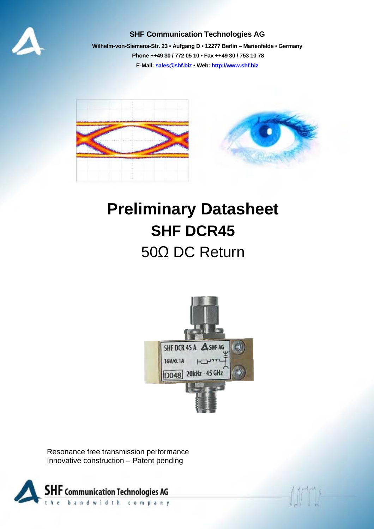

#### **SHF Communication Technologies AG**

**Wilhelm-von-Siemens-Str. 23 • Aufgang D • 12277 Berlin – Marienfelde • Germany Phone ++49 30 / 772 05 10 • Fax ++49 30 / 753 10 78 E-Mail: sales@shf.biz • Web: http://www.shf.biz**



# **Preliminary Datasheet SHF DCR45**  50Ω DC Return



Resonance free transmission performance Innovative construction – Patent pending

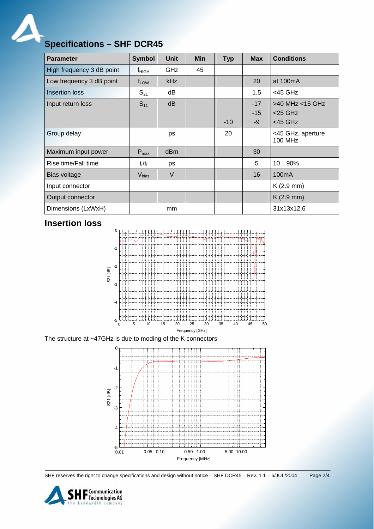A

## **Specifications – SHF DCR45**

| <b>Parameter</b>          | <b>Symbol</b>     | <b>Unit</b>     | <b>Min</b> | <b>Typ</b> | <b>Max</b> | <b>Conditions</b>                   |
|---------------------------|-------------------|-----------------|------------|------------|------------|-------------------------------------|
| High frequency 3 dB point | $f_{HIGH}$        | GHz             | 45         |            |            |                                     |
| Low frequency 3 dB point  | $f_{LOW}$         | kHz             |            |            | 20         | at 100mA                            |
| <b>Insertion loss</b>     | $S_{21}$          | dB              |            |            | 1.5        | $<$ 45 GHz                          |
| Input return loss         | $S_{11}$          | dB              |            |            | $-17$      | >40 MHz <15 GHz                     |
|                           |                   |                 |            |            | $-15$      | $<$ 25 GHz                          |
|                           |                   |                 |            | $-10$      | $-9$       | $<$ 45 GHz                          |
| Group delay               |                   | ps              |            | 20         |            | <45 GHz, aperture<br><b>100 MHz</b> |
| Maximum input power       | $P_{max}$         | d <sub>Bm</sub> |            |            | 30         |                                     |
| Rise time/Fall time       | $t_r/t_f$         | ps              |            |            | 5          | 1090%                               |
| Bias voltage              | V <sub>bias</sub> | $\vee$          |            |            | 16         | 100 <sub>m</sub> A                  |
| Input connector           |                   |                 |            |            |            | $K(2.9$ mm)                         |
| Output connector          |                   |                 |            |            |            | $K(2.9$ mm)                         |
| Dimensions (LxWxH)        |                   | mm              |            |            |            | 31x13x12.6                          |

#### **Insertion loss**



The structure at ~47GHz is due to moding of the K connectors



SHF reserves the right to change specifications and design without notice – SHF DCR45 – Rev. 1.1 – 6/JUL/2004 Page 2/4

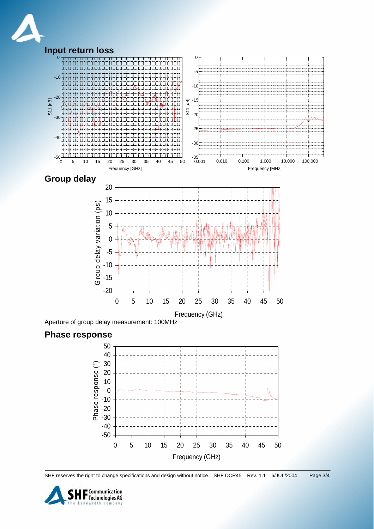





SHF reserves the right to change specifications and design without notice – SHF DCR45 – Rev. 1.1 – 6/JUL/2004 Page 3/4